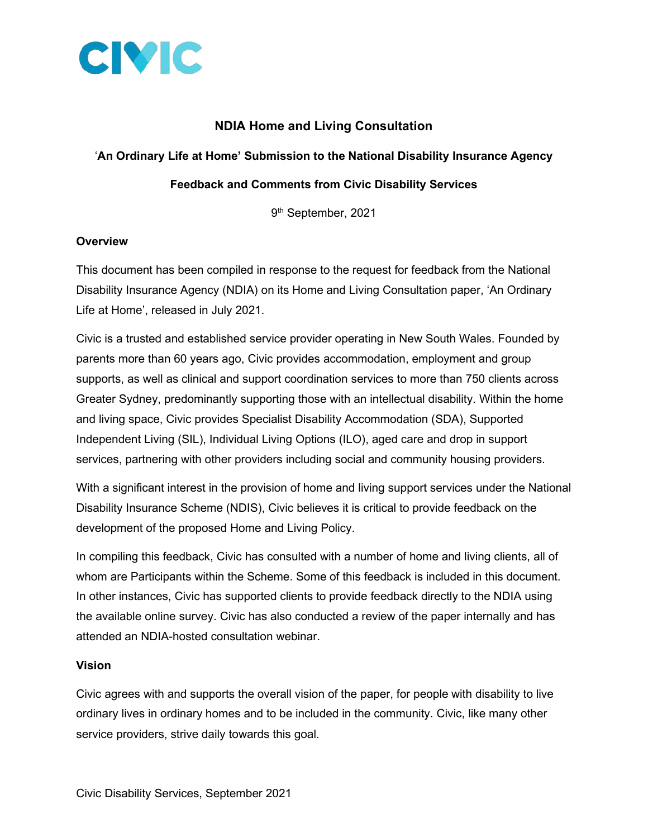

## **NDIA Home and Living Consultation**

#### '**An Ordinary Life at Home' Submission to the National Disability Insurance Agency**

#### **Feedback and Comments from Civic Disability Services**

9 th September, 2021

#### **Overview**

This document has been compiled in response to the request for feedback from the National Disability Insurance Agency (NDIA) on its Home and Living Consultation paper, 'An Ordinary Life at Home', released in July 2021.

Civic is a trusted and established service provider operating in New South Wales. Founded by parents more than 60 years ago, Civic provides accommodation, employment and group supports, as well as clinical and support coordination services to more than 750 clients across Greater Sydney, predominantly supporting those with an intellectual disability. Within the home and living space, Civic provides Specialist Disability Accommodation (SDA), Supported Independent Living (SIL), Individual Living Options (ILO), aged care and drop in support services, partnering with other providers including social and community housing providers.

With a significant interest in the provision of home and living support services under the National Disability Insurance Scheme (NDIS), Civic believes it is critical to provide feedback on the development of the proposed Home and Living Policy.

In compiling this feedback, Civic has consulted with a number of home and living clients, all of whom are Participants within the Scheme. Some of this feedback is included in this document. In other instances, Civic has supported clients to provide feedback directly to the NDIA using the available online survey. Civic has also conducted a review of the paper internally and has attended an NDIA-hosted consultation webinar.

#### **Vision**

Civic agrees with and supports the overall vision of the paper, for people with disability to live ordinary lives in ordinary homes and to be included in the community. Civic, like many other service providers, strive daily towards this goal.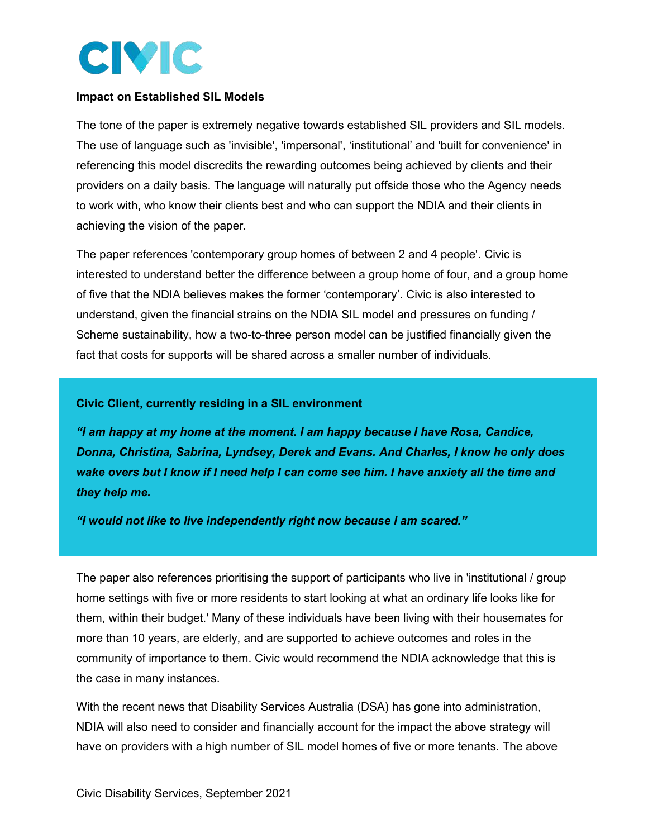

#### **Impact on Established SIL Models**

The tone of the paper is extremely negative towards established SIL providers and SIL models. The use of language such as 'invisible', 'impersonal', 'institutional' and 'built for convenience' in referencing this model discredits the rewarding outcomes being achieved by clients and their providers on a daily basis. The language will naturally put offside those who the Agency needs to work with, who know their clients best and who can support the NDIA and their clients in achieving the vision of the paper.

The paper references 'contemporary group homes of between 2 and 4 people'. Civic is interested to understand better the difference between a group home of four, and a group home of five that the NDIA believes makes the former 'contemporary'. Civic is also interested to understand, given the financial strains on the NDIA SIL model and pressures on funding / Scheme sustainability, how a two-to-three person model can be justified financially given the fact that costs for supports will be shared across a smaller number of individuals.

#### **Civic Client, currently residing in a SIL environment**

*"I am happy at my home at the moment. I am happy because I have Rosa, Candice, Donna, Christina, Sabrina, Lyndsey, Derek and Evans. And Charles, I know he only does wake overs but I know if I need help I can come see him. I have anxiety all the time and they help me.* 

*"I would not like to live independently right now because I am scared."* 

The paper also references prioritising the support of participants who live in 'institutional / group home settings with five or more residents to start looking at what an ordinary life looks like for them, within their budget.' Many of these individuals have been living with their housemates for more than 10 years, are elderly, and are supported to achieve outcomes and roles in the community of importance to them. Civic would recommend the NDIA acknowledge that this is the case in many instances.

With the recent news that Disability Services Australia (DSA) has gone into administration, NDIA will also need to consider and financially account for the impact the above strategy will have on providers with a high number of SIL model homes of five or more tenants. The above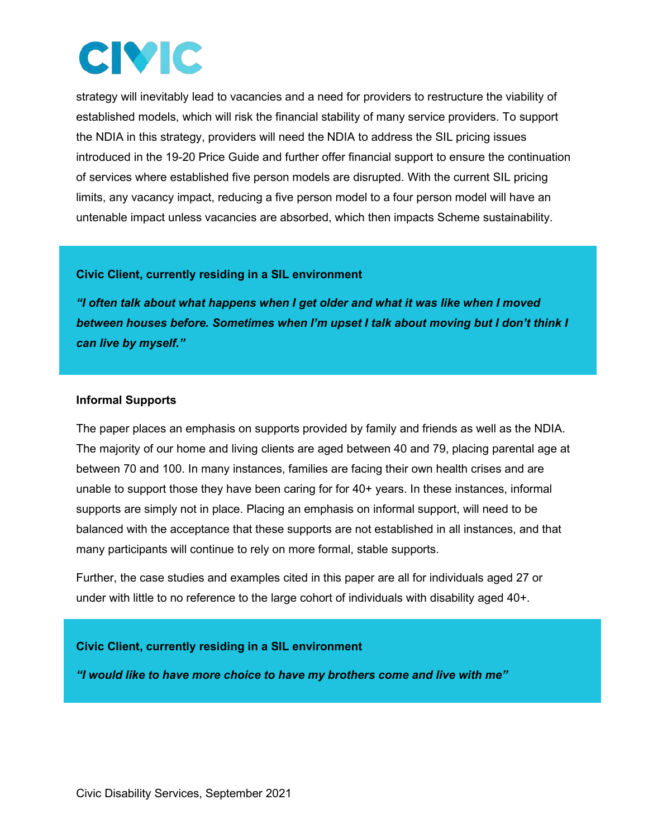## CIVIC

strategy will inevitably lead to vacancies and a need for providers to restructure the viability of established models, which will risk the financial stability of many service providers. To support the NDIA in this strategy, providers will need the NDIA to address the SIL pricing issues introduced in the 19-20 Price Guide and further offer financial support to ensure the continuation of services where established five person models are disrupted. With the current SIL pricing limits, any vacancy impact, reducing a five person model to a four person model will have an untenable impact unless vacancies are absorbed, which then impacts Scheme sustainability.

#### **Civic Client, currently residing in a SIL environment**

*"I often talk about what happens when I get older and what it was like when I moved between houses before. Sometimes when I'm upset I talk about moving but I don't think I can live by myself."* 

#### **Informal Supports**

The paper places an emphasis on supports provided by family and friends as well as the NDIA. The majority of our home and living clients are aged between 40 and 79, placing parental age at between 70 and 100. In many instances, families are facing their own health crises and are unable to support those they have been caring for for 40+ years. In these instances, informal supports are simply not in place. Placing an emphasis on informal support, will need to be balanced with the acceptance that these supports are not established in all instances, and that many participants will continue to rely on more formal, stable supports.

Further, the case studies and examples cited in this paper are all for individuals aged 27 or under with little to no reference to the large cohort of individuals with disability aged 40+.

## **Civic Client, currently residing in a SIL environment**

*"I would like to have more choice to have my brothers come and live with me"*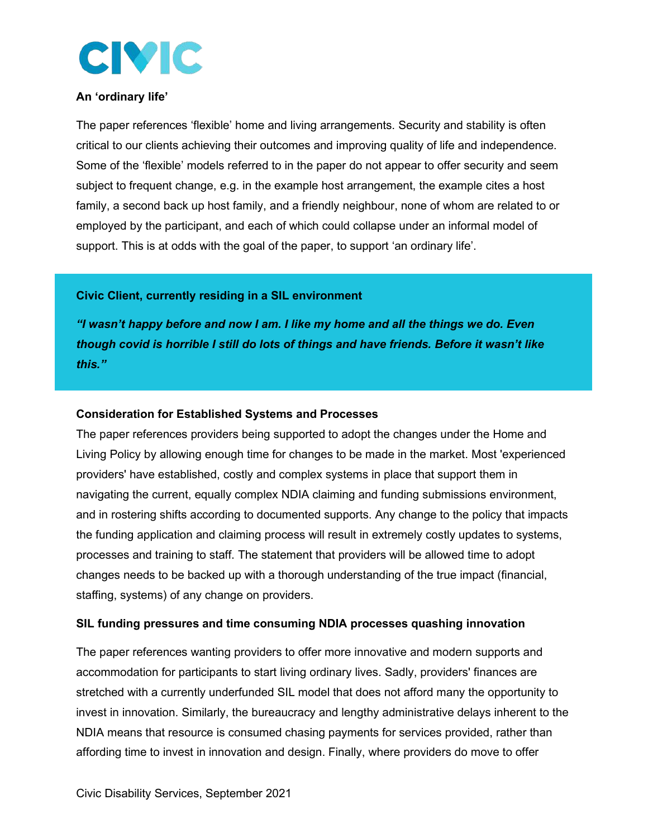

#### **An 'ordinary life'**

The paper references 'flexible' home and living arrangements. Security and stability is often critical to our clients achieving their outcomes and improving quality of life and independence. Some of the 'flexible' models referred to in the paper do not appear to offer security and seem subject to frequent change, e.g. in the example host arrangement, the example cites a host family, a second back up host family, and a friendly neighbour, none of whom are related to or employed by the participant, and each of which could collapse under an informal model of support. This is at odds with the goal of the paper, to support 'an ordinary life'.

#### **Civic Client, currently residing in a SIL environment**

*"I wasn't happy before and now I am. I like my home and all the things we do. Even though covid is horrible I still do lots of things and have friends. Before it wasn't like this."*

#### **Consideration for Established Systems and Processes**

The paper references providers being supported to adopt the changes under the Home and Living Policy by allowing enough time for changes to be made in the market. Most 'experienced providers' have established, costly and complex systems in place that support them in navigating the current, equally complex NDIA claiming and funding submissions environment, and in rostering shifts according to documented supports. Any change to the policy that impacts the funding application and claiming process will result in extremely costly updates to systems, processes and training to staff. The statement that providers will be allowed time to adopt changes needs to be backed up with a thorough understanding of the true impact (financial, staffing, systems) of any change on providers.

#### **SIL funding pressures and time consuming NDIA processes quashing innovation**

The paper references wanting providers to offer more innovative and modern supports and accommodation for participants to start living ordinary lives. Sadly, providers' finances are stretched with a currently underfunded SIL model that does not afford many the opportunity to invest in innovation. Similarly, the bureaucracy and lengthy administrative delays inherent to the NDIA means that resource is consumed chasing payments for services provided, rather than affording time to invest in innovation and design. Finally, where providers do move to offer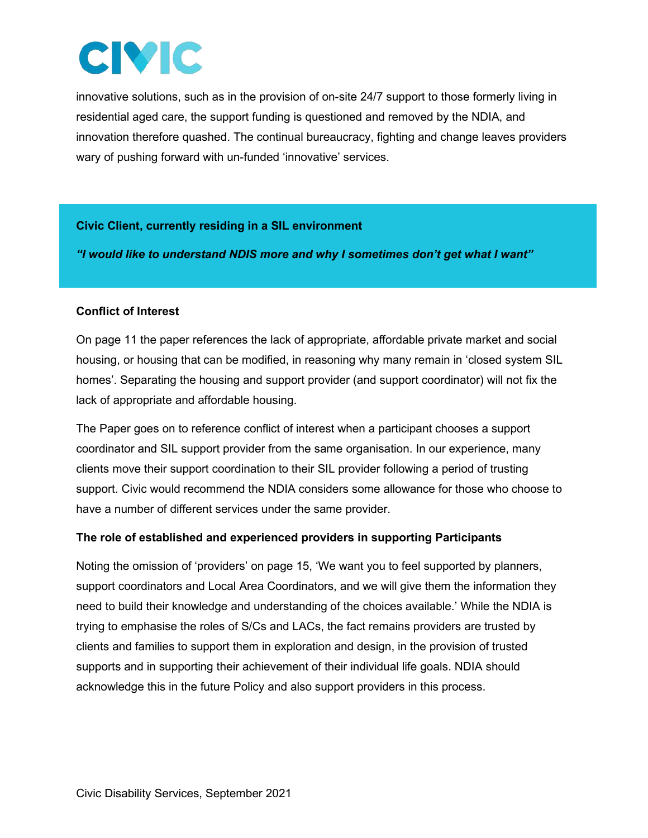## **CIVIC**

innovative solutions, such as in the provision of on-site 24/7 support to those formerly living in residential aged care, the support funding is questioned and removed by the NDIA, and innovation therefore quashed. The continual bureaucracy, fighting and change leaves providers wary of pushing forward with un-funded 'innovative' services.

## **Civic Client, currently residing in a SIL environment**

*"I would like to understand NDIS more and why I sometimes don't get what I want"* 

## **Conflict of Interest**

On page 11 the paper references the lack of appropriate, affordable private market and social housing, or housing that can be modified, in reasoning why many remain in 'closed system SIL homes'. Separating the housing and support provider (and support coordinator) will not fix the lack of appropriate and affordable housing.

The Paper goes on to reference conflict of interest when a participant chooses a support coordinator and SIL support provider from the same organisation. In our experience, many clients move their support coordination to their SIL provider following a period of trusting support. Civic would recommend the NDIA considers some allowance for those who choose to have a number of different services under the same provider.

## **The role of established and experienced providers in supporting Participants**

Noting the omission of 'providers' on page 15, 'We want you to feel supported by planners, support coordinators and Local Area Coordinators, and we will give them the information they need to build their knowledge and understanding of the choices available.' While the NDIA is trying to emphasise the roles of S/Cs and LACs, the fact remains providers are trusted by clients and families to support them in exploration and design, in the provision of trusted supports and in supporting their achievement of their individual life goals. NDIA should acknowledge this in the future Policy and also support providers in this process.